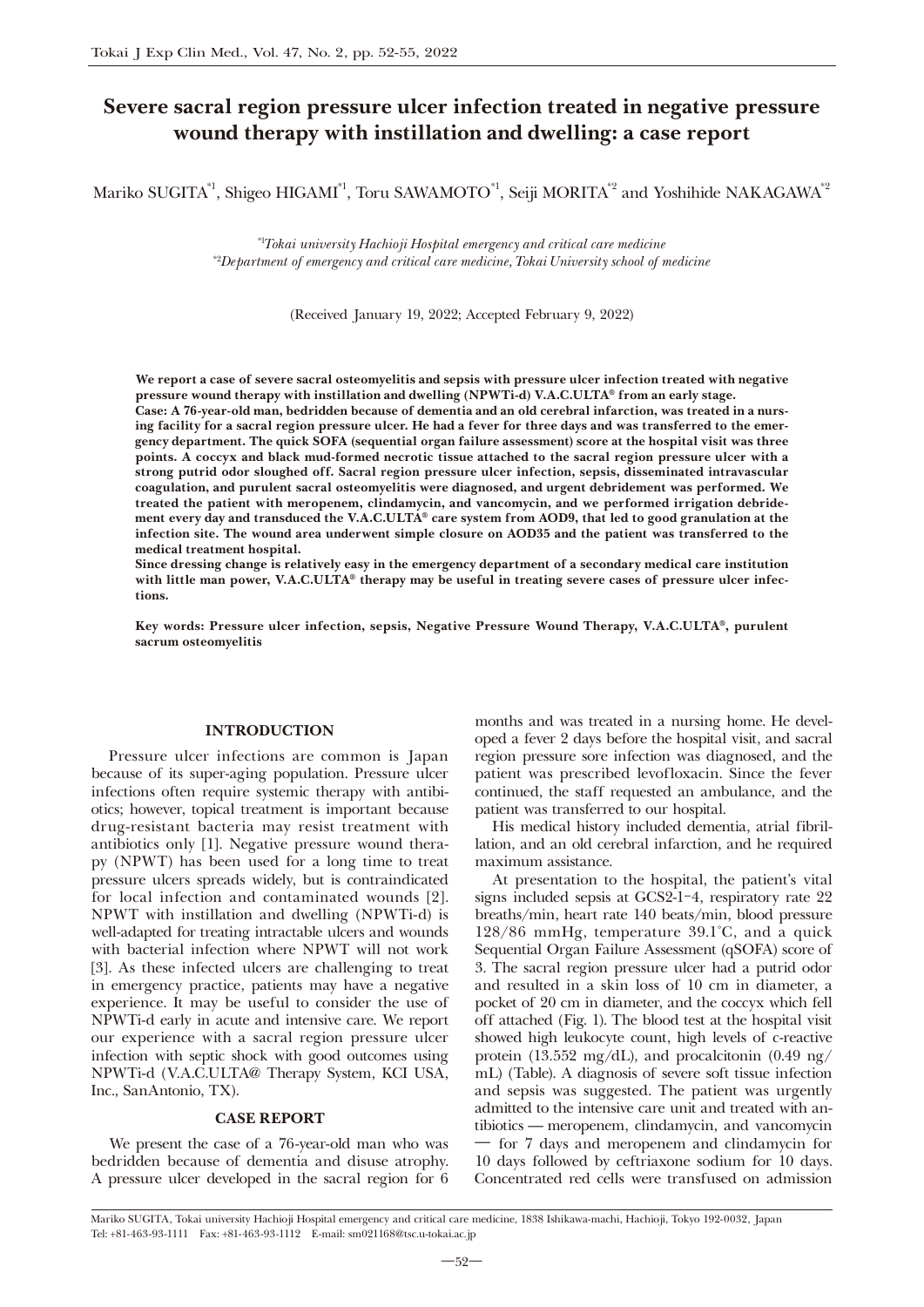# Severe sacral region pressure ulcer infection treated in negative pressure wound therapy with instillation and dwelling: a case report

Mariko SUGITA<sup>\*1</sup>, Shigeo HIGAMI<sup>\*1</sup>, Toru SAWAMOTO<sup>\*1</sup>, Seiji MORITA<sup>\*2</sup> and Yoshihide NAKAGAWA<sup>\*2</sup>

*\**1 *Tokai university Hachioji Hospital emergency and critical care medicine \**2 *Department of emergency and critical care medicine, Tokai University school of medicine*

(Received January 19, 2022; Accepted February 9, 2022)

We report a case of severe sacral osteomyelitis and sepsis with pressure ulcer infection treated with negative pressure wound therapy with instillation and dwelling (NPWTi-d) V.A.C.ULTA® from an early stage.

Case: A 76-year-old man, bedridden because of dementia and an old cerebral infarction, was treated in a nursing facility for a sacral region pressure ulcer. He had a fever for three days and was transferred to the emergency department. The quick SOFA (sequential organ failure assessment) score at the hospital visit was three points. A coccyx and black mud-formed necrotic tissue attached to the sacral region pressure ulcer with a strong putrid odor sloughed off. Sacral region pressure ulcer infection, sepsis, disseminated intravascular coagulation, and purulent sacral osteomyelitis were diagnosed, and urgent debridement was performed. We treated the patient with meropenem, clindamycin, and vancomycin, and we performed irrigation debridement every day and transduced the V.A.C.ULTA® care system from AOD9, that led to good granulation at the infection site. The wound area underwent simple closure on AOD35 and the patient was transferred to the medical treatment hospital.

Since dressing change is relatively easy in the emergency department of a secondary medical care institution with little man power, V.A.C.ULTA® therapy may be useful in treating severe cases of pressure ulcer infections.

Key words: Pressure ulcer infection, sepsis, Negative Pressure Wound Therapy, V.A.C.ULTA®, purulent sacrum osteomyelitis

### INTRODUCTION

Pressure ulcer infections are common is Japan because of its super-aging population. Pressure ulcer infections often require systemic therapy with antibiotics; however, topical treatment is important because drug-resistant bacteria may resist treatment with antibiotics only [1]. Negative pressure wound therapy (NPWT) has been used for a long time to treat pressure ulcers spreads widely, but is contraindicated for local infection and contaminated wounds [2]. NPWT with instillation and dwelling (NPWTi-d) is well-adapted for treating intractable ulcers and wounds with bacterial infection where NPWT will not work [3]. As these infected ulcers are challenging to treat in emergency practice, patients may have a negative experience. It may be useful to consider the use of NPWTi-d early in acute and intensive care. We report our experience with a sacral region pressure ulcer infection with septic shock with good outcomes using NPWTi-d (V.A.C.ULTA@ Therapy System, KCI USA, Inc., SanAntonio, TX).

### **CASE REPORT**

We present the case of a 76-year-old man who was bedridden because of dementia and disuse atrophy. A pressure ulcer developed in the sacral region for 6 months and was treated in a nursing home. He developed a fever 2 days before the hospital visit, and sacral region pressure sore infection was diagnosed, and the patient was prescribed levofloxacin. Since the fever continued, the staff requested an ambulance, and the patient was transferred to our hospital.

His medical history included dementia, atrial fibrillation, and an old cerebral infarction, and he required maximum assistance.

At presentation to the hospital, the patient's vital signs included sepsis at GCS2-1-4, respiratory rate 22 breaths/min, heart rate 140 beats/min, blood pressure 128/86 mmHg, temperature 39.1˚C, and a quick Sequential Organ Failure Assessment (qSOFA) score of 3. The sacral region pressure ulcer had a putrid odor and resulted in a skin loss of 10 cm in diameter, a pocket of 20 cm in diameter, and the coccyx which fell off attached (Fig. 1). The blood test at the hospital visit showed high leukocyte count, high levels of c-reactive protein (13.552 mg/dL), and procalcitonin (0.49 ng/ mL) (Table). A diagnosis of severe soft tissue infection and sepsis was suggested. The patient was urgently admitted to the intensive care unit and treated with antibiotics ̶ meropenem, clindamycin, and vancomycin ― for 7 days and meropenem and clindamycin for 10 days followed by ceftriaxone sodium for 10 days. Concentrated red cells were transfused on admission

Mariko SUGITA, Tokai university Hachioji Hospital emergency and critical care medicine, 1838 Ishikawa-machi, Hachioji, Tokyo 192-0032, Japan Tel: +81-463-93-1111 Fax: +81-463-93-1112 E-mail: sm021168@tsc.u-tokai.ac.jp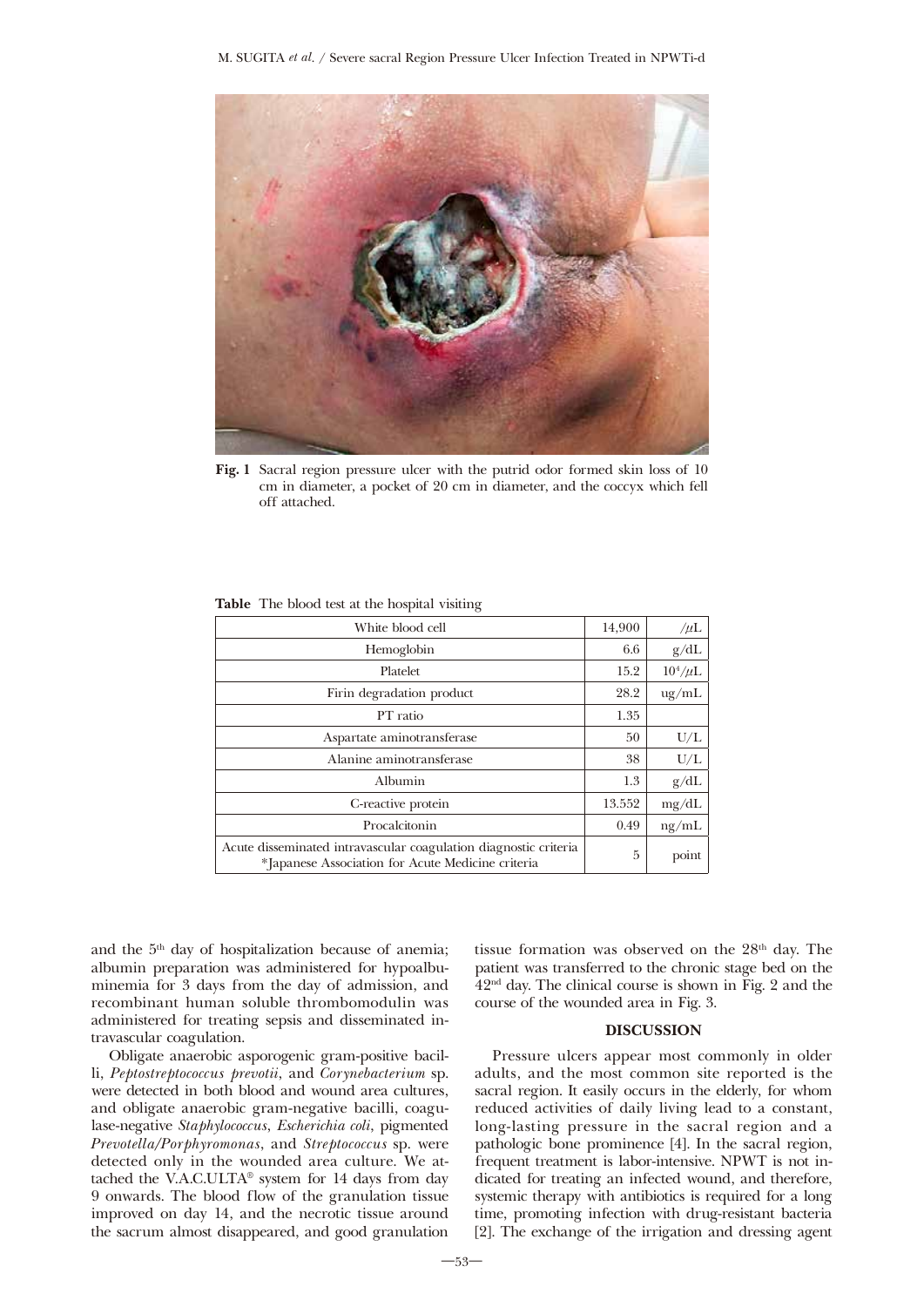

Fig. 1 Sacral region pressure ulcer with the putrid odor formed skin loss of 10 cm in diameter, a pocket of 20 cm in diameter, and the coccyx which fell off attached.

| White blood cell                                                                                                      | 14,900 | $/\mu L$          |
|-----------------------------------------------------------------------------------------------------------------------|--------|-------------------|
| Hemoglobin                                                                                                            | 6.6    | g/dL              |
| Platelet                                                                                                              | 15.2   | $10^4/\mu L$      |
| Firin degradation product                                                                                             | 28.2   | $\frac{u}{g}$ /mL |
| PT ratio                                                                                                              | 1.35   |                   |
| Aspartate aminotransferase                                                                                            | 50     | U/L               |
| Alanine aminotransferase                                                                                              | 38     | U/L               |
| Albumin                                                                                                               | 1.3    | g/dL              |
| C-reactive protein                                                                                                    | 13.552 | mg/dL             |
| Procalcitonin                                                                                                         | 0.49   | ng/mL             |
| Acute disseminated intravascular coagulation diagnostic criteria<br>*Japanese Association for Acute Medicine criteria | 5      | point             |

Table The blood test at the hospital visiting

and the 5th day of hospitalization because of anemia; albumin preparation was administered for hypoalbuminemia for 3 days from the day of admission, and recombinant human soluble thrombomodulin was administered for treating sepsis and disseminated intravascular coagulation.

Obligate anaerobic asporogenic gram-positive bacilli, *Peptostreptococcus prevotii*, and *Corynebacterium* sp. were detected in both blood and wound area cultures, and obligate anaerobic gram-negative bacilli, coagulase-negative *Staphylococcus*, *Escherichia coli*, pigmented *Prevotella/Porphyromonas*, and *Streptococcus* sp. were detected only in the wounded area culture. We attached the V.A.C.ULTA® system for 14 days from day 9 onwards. The blood flow of the granulation tissue improved on day 14, and the necrotic tissue around the sacrum almost disappeared, and good granulation tissue formation was observed on the 28<sup>th</sup> day. The patient was transferred to the chronic stage bed on the 42nd day. The clinical course is shown in Fig. 2 and the course of the wounded area in Fig. 3.

# DISCUSSION

Pressure ulcers appear most commonly in older adults, and the most common site reported is the sacral region. It easily occurs in the elderly, for whom reduced activities of daily living lead to a constant, long-lasting pressure in the sacral region and a pathologic bone prominence [4]. In the sacral region, frequent treatment is labor-intensive. NPWT is not indicated for treating an infected wound, and therefore, systemic therapy with antibiotics is required for a long time, promoting infection with drug-resistant bacteria [2]. The exchange of the irrigation and dressing agent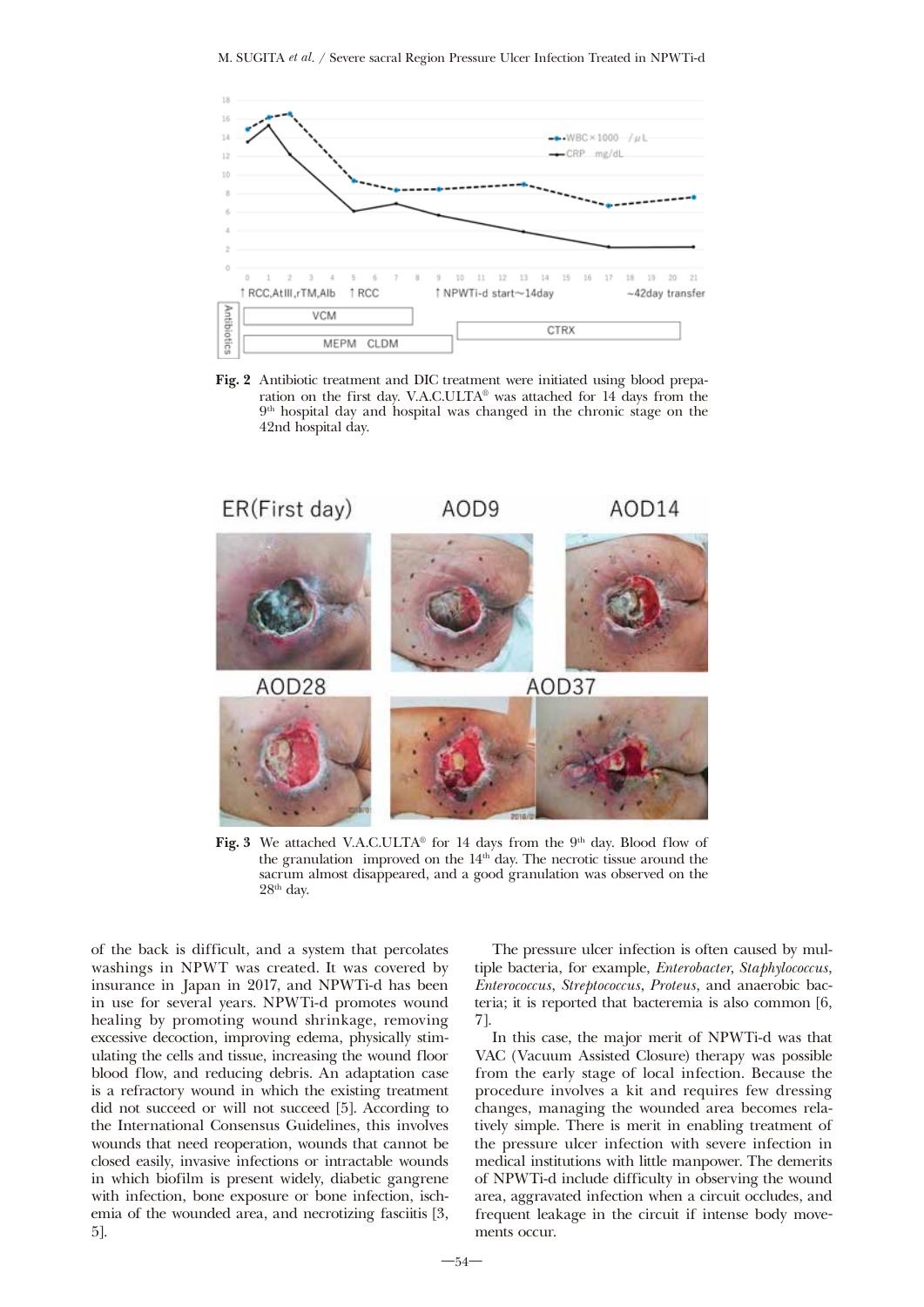

Fig. 2 Antibiotic treatment and DIC treatment were initiated using blood preparation on the first day. V.A.C.ULTA® was attached for 14 days from the  $9<sup>th</sup>$  hospital day and hospital was changed in the chronic stage on the 42nd hospital day.



Fig. 3 We attached V.A.C.ULTA® for 14 days from the 9<sup>th</sup> day. Blood flow of the granulation improved on the  $14<sup>th</sup>$  day. The necrotic tissue around the sacrum almost disappeared, and a good granulation was observed on the 28th day.

of the back is difficult, and a system that percolates washings in NPWT was created. It was covered by insurance in Japan in 2017, and NPWTi-d has been in use for several years. NPWTi-d promotes wound healing by promoting wound shrinkage, removing excessive decoction, improving edema, physically stimulating the cells and tissue, increasing the wound floor blood flow, and reducing debris. An adaptation case is a refractory wound in which the existing treatment did not succeed or will not succeed [5]. According to the International Consensus Guidelines, this involves wounds that need reoperation, wounds that cannot be closed easily, invasive infections or intractable wounds in which biofilm is present widely, diabetic gangrene with infection, bone exposure or bone infection, ischemia of the wounded area, and necrotizing fasciitis [3, 5].

The pressure ulcer infection is often caused by multiple bacteria, for example, *Enterobacter*, *Staphylococcus*, *Enterococcus*, *Streptococcus*, *Proteus*, and anaerobic bacteria; it is reported that bacteremia is also common [6, 7].

In this case, the major merit of NPWTi-d was that VAC (Vacuum Assisted Closure) therapy was possible from the early stage of local infection. Because the procedure involves a kit and requires few dressing changes, managing the wounded area becomes relatively simple. There is merit in enabling treatment of the pressure ulcer infection with severe infection in medical institutions with little manpower. The demerits of NPWTi-d include difficulty in observing the wound area, aggravated infection when a circuit occludes, and frequent leakage in the circuit if intense body movements occur.